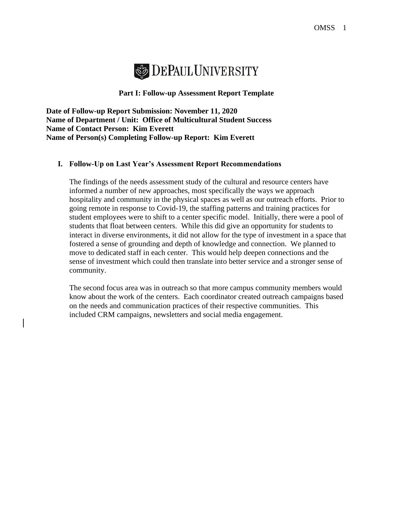

### **Part I: Follow-up Assessment Report Template**

**Date of Follow-up Report Submission: November 11, 2020 Name of Department / Unit: Office of Multicultural Student Success Name of Contact Person: Kim Everett Name of Person(s) Completing Follow-up Report: Kim Everett**

## **I. Follow-Up on Last Year's Assessment Report Recommendations**

The findings of the needs assessment study of the cultural and resource centers have informed a number of new approaches, most specifically the ways we approach hospitality and community in the physical spaces as well as our outreach efforts. Prior to going remote in response to Covid-19, the staffing patterns and training practices for student employees were to shift to a center specific model. Initially, there were a pool of students that float between centers. While this did give an opportunity for students to interact in diverse environments, it did not allow for the type of investment in a space that fostered a sense of grounding and depth of knowledge and connection. We planned to move to dedicated staff in each center. This would help deepen connections and the sense of investment which could then translate into better service and a stronger sense of community.

The second focus area was in outreach so that more campus community members would know about the work of the centers. Each coordinator created outreach campaigns based on the needs and communication practices of their respective communities. This included CRM campaigns, newsletters and social media engagement.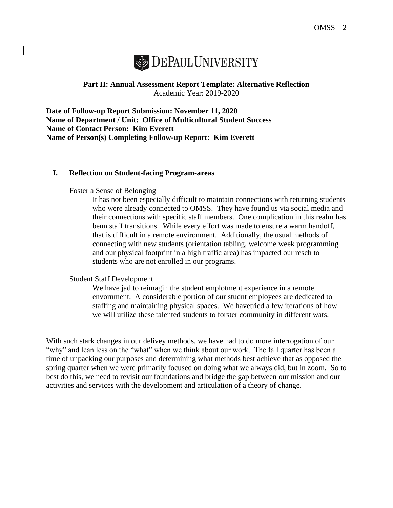# **SEPAUL UNIVERSITY**

# **Part II: Annual Assessment Report Template: Alternative Reflection** Academic Year: 2019-2020

**Date of Follow-up Report Submission: November 11, 2020 Name of Department / Unit: Office of Multicultural Student Success Name of Contact Person: Kim Everett Name of Person(s) Completing Follow-up Report: Kim Everett**

## **I. Reflection on Student-facing Program-areas**

Foster a Sense of Belonging

It has not been especially difficult to maintain connections with returning students who were already connected to OMSS. They have found us via social media and their connections with specific staff members. One complication in this realm has benn staff transitions. While every effort was made to ensure a warm handoff, that is difficult in a remote environment. Additionally, the usual methods of connecting with new students (orientation tabling, welcome week programming and our physical footprint in a high traffic area) has impacted our resch to students who are not enrolled in our programs.

#### Student Staff Development

We have jad to reimagin the student emplotment experience in a remote envornment. A considerable portion of our studnt employees are dedicated to staffing and maintaining physical spaces. We havetried a few iterations of how we will utilize these talented students to forster community in different wats.

With such stark changes in our delivey methods, we have had to do more interrogation of our "why" and lean less on the "what" when we think about our work. The fall quarter has been a time of unpacking our purposes and determining what methods best achieve that as opposed the spring quarter when we were primarily focused on doing what we always did, but in zoom. So to best do this, we need to revisit our foundations and bridge the gap between our mission and our activities and services with the development and articulation of a theory of change.